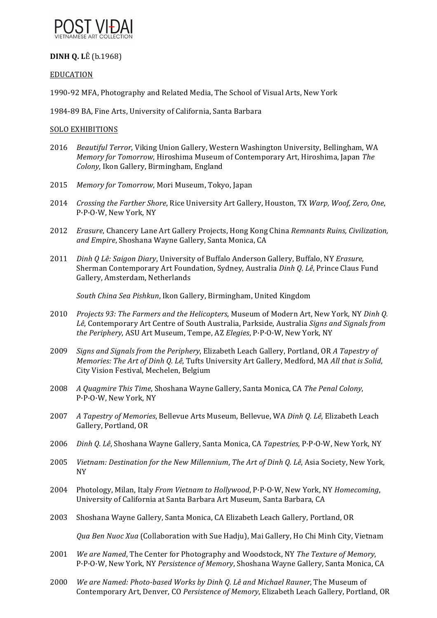

# **DINH O. LÊ** (b.1968)

## EDUCATION

1990-92 MFA, Photography and Related Media, The School of Visual Arts, New York

1984-89 BA, Fine Arts, University of California, Santa Barbara

### SOLO EXHIBITIONS

- 2016 *Beautiful Terror*, Viking Union Gallery, Western Washington University, Bellingham, WA *Memory for Tomorrow*, Hiroshima Museum of Contemporary Art, Hiroshima, Japan The *Colony*, Ikon Gallery, Birmingham, England
- 2015 Memory for Tomorrow, Mori Museum, Tokyo, Japan
- 2014 *Crossing the Farther Shore*, Rice University Art Gallery, Houston, TX Warp, Woof, Zero, One, P·P·O·W, New York, NY
- 2012 *Erasure*, Chancery Lane Art Gallery Projects, Hong Kong China *Remnants Ruins, Civilization*, and *Empire*, Shoshana Wayne Gallery, Santa Monica, CA
- 2011 *Dinh Q Lê: Saigon Diary*, University of Buffalo Anderson Gallery, Buffalo, NY *Erasure*, Sherman Contemporary Art Foundation, Sydney, Australia *Dinh Q. Lê*, Prince Claus Fund Gallery, Amsterdam, Netherlands

*South China Sea Pishkun*, Ikon Gallery, Birmingham, United Kingdom 

- 2010 Projects 93: The Farmers and the Helicopters, Museum of Modern Art, New York, NY Dinh Q. Lê, Contemporary Art Centre of South Australia, Parkside, Australia *Signs and Signals from the Periphery*, ASU Art Museum, Tempe, AZ *Elegies*, P·P·O·W, New York, NY
- 2009 *Signs and Signals from the Periphery*, Elizabeth Leach Gallery, Portland, OR A Tapestry of *Memories: The Art of Dinh Q. Lê*, Tufts University Art Gallery, Medford, MA *All that is Solid*, City Vision Festival, Mechelen, Belgium
- 2008 *A Quagmire This Time,* Shoshana Wayne Gallery, Santa Monica, CA The Penal Colony, P·P·O·W, New York, NY
- 2007 *A Tapestry of Memories*, Bellevue Arts Museum, Bellevue, WA *Dinh Q. Lê*, Elizabeth Leach Gallery, Portland, OR
- 2006 *Dinh Q. Lê*, Shoshana Wayne Gallery, Santa Monica, CA *Tapestries*, P·P·O·W, New York, NY
- 2005 *Vietnam: Destination for the New Millennium, The Art of Dinh Q. Lê, Asia Society, New York,* NY
- 2004 Photology, Milan, Italy *From Vietnam to Hollywood*, P·P·O·W, New York, NY *Homecoming*, University of California at Santa Barbara Art Museum, Santa Barbara, CA
- 2003 Shoshana Wayne Gallery, Santa Monica, CA Elizabeth Leach Gallery, Portland, OR

*Qua Ben Nuoc Xua* (Collaboration with Sue Hadju), Mai Gallery, Ho Chi Minh City, Vietnam

- 2001 *We are Named*, The Center for Photography and Woodstock, NY The Texture of Memory, P·P·O·W, New York, NY Persistence of Memory, Shoshana Wayne Gallery, Santa Monica, CA
- 2000 *We are Named: Photo-based Works by Dinh Q. Lê and Michael Rauner*, The Museum of Contemporary Art, Denver, CO Persistence of Memory, Elizabeth Leach Gallery, Portland, OR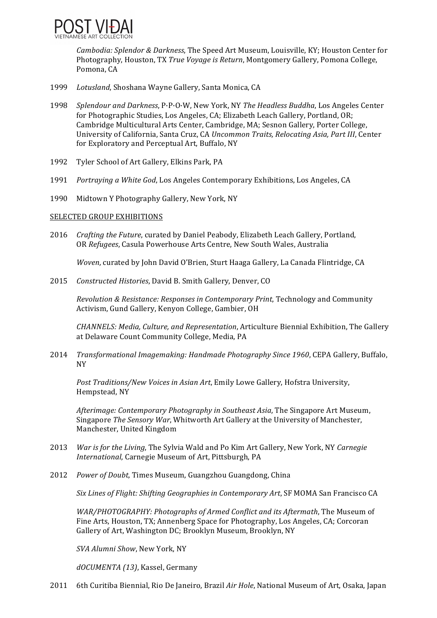

*Cambodia: Splendor & Darkness*, The Speed Art Museum, Louisville, KY; Houston Center for Photography, Houston, TX *True Voyage is Return*, Montgomery Gallery, Pomona College, Pomona, CA

- 1999 Lotusland, Shoshana Wayne Gallery, Santa Monica, CA
- 1998 *Splendour and Darkness*, P·P·O·W, New York, NY The Headless Buddha, Los Angeles Center for Photographic Studies, Los Angeles, CA; Elizabeth Leach Gallery, Portland, OR; Cambridge Multicultural Arts Center, Cambridge, MA; Sesnon Gallery, Porter College, University of California, Santa Cruz, CA *Uncommon Traits, Relocating Asia, Part III*, Center for Exploratory and Perceptual Art, Buffalo, NY
- 1992 Tyler School of Art Gallery, Elkins Park, PA
- 1991 *Portraying a White God*, Los Angeles Contemporary Exhibitions, Los Angeles, CA
- 1990 Midtown Y Photography Gallery, New York, NY

### SELECTED GROUP EXHIBITIONS

2016 *Crafting the Future*, curated by Daniel Peabody, Elizabeth Leach Gallery, Portland, OR Refugees, Casula Powerhouse Arts Centre, New South Wales, Australia

*Woven*, curated by John David O'Brien, Sturt Haaga Gallery, La Canada Flintridge, CA

2015 *Constructed Histories*, David B. Smith Gallery, Denver, CO 

*Revolution & Resistance: Responses in Contemporary Print*, Technology and Community Activism, Gund Gallery, Kenyon College, Gambier, OH

*CHANNELS: Media, Culture, and Representation*, Articulture Biennial Exhibition, The Gallery at Delaware Count Community College, Media, PA

2014 *Transformational Imagemaking: Handmade Photography Since 1960*, CEPA Gallery, Buffalo, NY 

*Post Traditions/New Voices in Asian Art*, Emily Lowe Gallery, Hofstra University, Hempstead, NY

*Afterimage: Contemporary Photography in Southeast Asia, The Singapore Art Museum,* Singapore *The Sensory War*, Whitworth Art Gallery at the University of Manchester, Manchester, United Kingdom

- 2013 *War is for the Living*, The Sylvia Wald and Po Kim Art Gallery, New York, NY *Carnegie International, Carnegie Museum of Art, Pittsburgh, PA*
- 2012 *Power of Doubt*, Times Museum, Guangzhou Guangdong, China

*Six Lines of Flight: Shifting Geographies in Contemporary Art*, SF MOMA San Francisco CA

*WAR/PHOTOGRAPHY: Photographs of Armed Conflict and its Aftermath*, The Museum of Fine Arts, Houston, TX; Annenberg Space for Photography, Los Angeles, CA; Corcoran Gallery of Art, Washington DC; Brooklyn Museum, Brooklyn, NY

SVA Alumni Show, New York, NY

*dOCUMENTA (13)*, Kassel, Germany 

2011 6th Curitiba Biennial, Rio De Janeiro, Brazil *Air Hole*, National Museum of Art, Osaka, Japan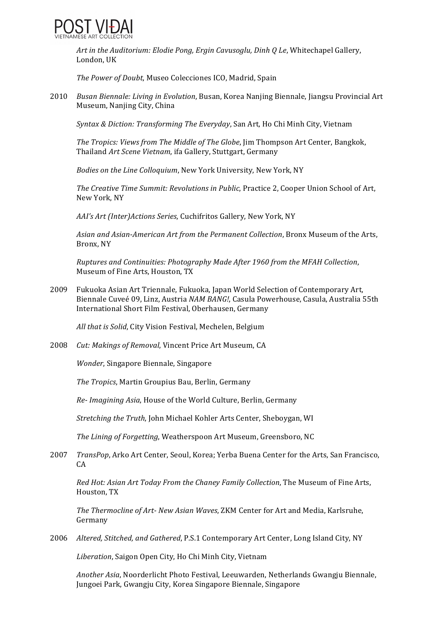

*Art in the Auditorium: Elodie Pong, Ergin Cavusoglu, Dinh Q Le, Whitechapel Gallery,* London, UK

*The Power of Doubt*, Museo Colecciones ICO, Madrid, Spain

2010 *Busan Biennale: Living in Evolution*, Busan, Korea Nanjing Biennale, Jiangsu Provincial Art Museum, Nanjing City, China

*Syntax & Diction: Transforming The Everyday*, San Art, Ho Chi Minh City, Vietnam 

*The Tropics: Views from The Middle of The Globe*, *Jim Thompson Art Center*, Bangkok, Thailand *Art Scene Vietnam*, ifa Gallery, Stuttgart, Germany

*Bodies on the Line Colloquium,* New York University, New York, NY

The Creative Time Summit: Revolutions in Public, Practice 2, Cooper Union School of Art, New York, NY 

*AAI's Art (Inter)Actions Series, Cuchifritos Gallery, New York, NY* 

Asian and Asian-American Art from the Permanent Collection, Bronx Museum of the Arts, Bronx, NY

*Ruptures and Continuities: Photography Made After 1960 from the MFAH Collection*, Museum of Fine Arts, Houston, TX

2009 Fukuoka Asian Art Triennale, Fukuoka, Japan World Selection of Contemporary Art, Biennale Cuveé 09, Linz, Austria NAM BANG!, Casula Powerhouse, Casula, Australia 55th International Short Film Festival, Oberhausen, Germany

*All that is Solid*, City Vision Festival, Mechelen, Belgium

2008 Cut: Makings of Removal, Vincent Price Art Museum, CA

*Wonder*, Singapore Biennale, Singapore

The *Tropics*, Martin Groupius Bau, Berlin, Germany

*Re-Imagining Asia*, House of the World Culture, Berlin, Germany

*Stretching the Truth*, John Michael Kohler Arts Center, Sheboygan, WI

*The Lining of Forgetting*, Weatherspoon Art Museum, Greensboro, NC

2007 *TransPop*, Arko Art Center, Seoul, Korea; Yerba Buena Center for the Arts, San Francisco, CA 

*Red Hot: Asian Art Today From the Chaney Family Collection*, The Museum of Fine Arts, Houston, TX

*The Thermocline of Art- New Asian Waves, ZKM Center for Art and Media, Karlsruhe,* Germany 

2006 Altered, Stitched, and Gathered, P.S.1 Contemporary Art Center, Long Island City, NY

Liberation, Saigon Open City, Ho Chi Minh City, Vietnam

*Another Asia*, Noorderlicht Photo Festival, Leeuwarden, Netherlands Gwangju Biennale, Jungoei Park, Gwangju City, Korea Singapore Biennale, Singapore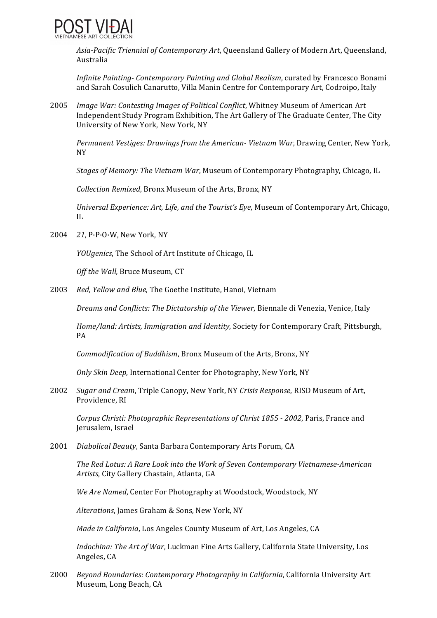

Asia-Pacific Triennial of Contemporary Art, Queensland Gallery of Modern Art, Queensland, Australia 

*Infinite Painting- Contemporary Painting and Global Realism*, curated by Francesco Bonami and Sarah Cosulich Canarutto, Villa Manin Centre for Contemporary Art, Codroipo, Italy

2005 *Image War: Contesting Images of Political Conflict*, Whitney Museum of American Art Independent Study Program Exhibition, The Art Gallery of The Graduate Center, The City University of New York, New York, NY

*Permanent Vestiges: Drawings from the American- Vietnam War, Drawing Center, New York,* NY 

*Stages of Memory: The Vietnam War,* Museum of Contemporary Photography, Chicago, IL

*Collection Remixed*, Bronx Museum of the Arts, Bronx, NY 

*Universal Experience: Art, Life, and the Tourist's Eye, Museum of Contemporary Art, Chicago,* IL 

2004 *21*, P.P.O.W, New York, NY

*YOUgenics*, The School of Art Institute of Chicago, IL

*Off the Wall, Bruce Museum, CT* 

2003 Red, Yellow and Blue, The Goethe Institute, Hanoi, Vietnam

*Dreams and Conflicts: The Dictatorship of the Viewer*, Biennale di Venezia, Venice, Italy

*Home/land: Artists, Immigration and Identity, Society for Contemporary Craft, Pittsburgh,* PA 

*Commodification of Buddhism*, Bronx Museum of the Arts, Bronx, NY

*Only Skin Deep*, International Center for Photography, New York, NY

2002 *Sugar and Cream*, Triple Canopy, New York, NY *Crisis Response*, RISD Museum of Art, Providence, RI

*Corpus Christi: Photographic Representations of Christ 1855 - 2002, Paris, France and* Jerusalem, Israel

2001 *Diabolical Beauty*, Santa Barbara Contemporary Arts Forum, CA

The Red Lotus: A Rare Look into the Work of Seven Contemporary Vietnamese-American Artists, City Gallery Chastain, Atlanta, GA

*We Are Named*, Center For Photography at Woodstock, Woodstock, NY

Alterations, James Graham & Sons, New York, NY

*Made in California*, Los Angeles County Museum of Art, Los Angeles, CA

*Indochina: The Art of War, Luckman Fine Arts Gallery, California State University, Los* Angeles, CA

2000 *Beyond Boundaries: Contemporary Photography in California*, California University Art Museum, Long Beach, CA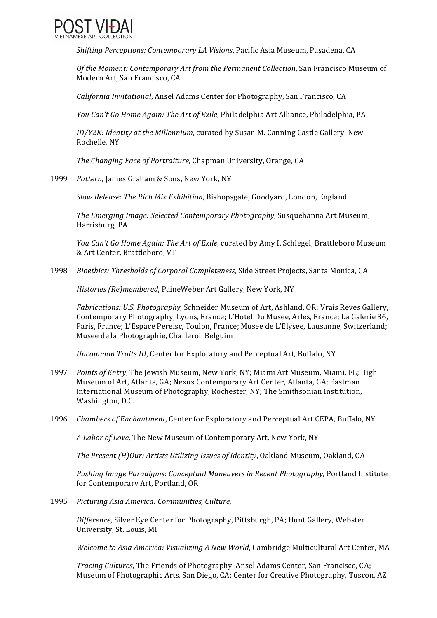

*Shifting Perceptions: Contemporary LA Visions, Pacific Asia Museum, Pasadena, CA* 

*Of the Moment: Contemporary Art from the Permanent Collection*, San Francisco Museum of Modern Art, San Francisco, CA

*California Invitational,* Ansel Adams Center for Photography, San Francisco, CA

*You Can't Go Home Again: The Art of Exile*, Philadelphia Art Alliance, Philadelphia, PA

*ID/Y2K: Identity at the Millennium*, curated by Susan M. Canning Castle Gallery, New Rochelle, NY

*The Changing Face of Portraiture,* Chapman University, Orange, CA

1999 Pattern, James Graham & Sons, New York, NY

*Slow Release: The Rich Mix Exhibition*, Bishopsgate, Goodyard, London, England

*The Emerging Image: Selected Contemporary Photography*, Susquehanna Art Museum, Harrisburg, PA

*You Can't Go Home Again: The Art of Exile,* curated by Amy I. Schlegel, Brattleboro Museum & Art Center, Brattleboro, VT

1998 *Bioethics: Thresholds of Corporal Completeness*, Side Street Projects, Santa Monica, CA

*Histories* (Re)membered, PaineWeber Art Gallery, New York, NY

*Fabrications: U.S. Photography*, Schneider Museum of Art, Ashland, OR; Vrais Reves Gallery, Contemporary Photography, Lyons, France; L'Hotel Du Musee, Arles, France; La Galerie 36, Paris, France; L'Espace Pereisc, Toulon, France; Musee de L'Elysee, Lausanne, Switzerland; Musee de la Photographie, Charleroi, Belguim

*Uncommon Traits III*, Center for Exploratory and Perceptual Art, Buffalo, NY

- 1997 *Points of Entry*, The Jewish Museum, New York, NY; Miami Art Museum, Miami, FL; High Museum of Art, Atlanta, GA; Nexus Contemporary Art Center, Atlanta, GA; Eastman International Museum of Photography, Rochester, NY; The Smithsonian Institution, Washington, D.C.
- 1996 *Chambers of Enchantment*, Center for Exploratory and Perceptual Art CEPA, Buffalo, NY

A Labor of Love, The New Museum of Contemporary Art, New York, NY

*The Present (H)Our: Artists Utilizing Issues of Identity*, Oakland Museum, Oakland, CA

*Pushing Image Paradigms: Conceptual Maneuvers in Recent Photography*, Portland Institute for Contemporary Art, Portland, OR

1995 *Picturing Asia America: Communities, Culture,* 

*Difference*, Silver Eye Center for Photography, Pittsburgh, PA; Hunt Gallery, Webster University, St. Louis, MI

*Welcome to Asia America: Visualizing A New World*, Cambridge Multicultural Art Center, MA

*Tracing Cultures*, The Friends of Photography, Ansel Adams Center, San Francisco, CA; Museum of Photographic Arts, San Diego, CA; Center for Creative Photography, Tuscon, AZ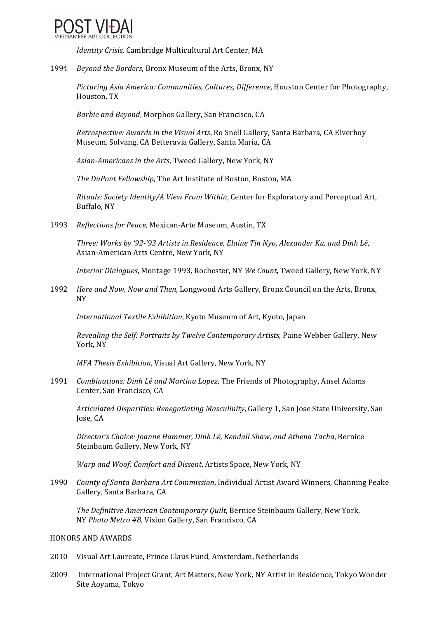

*Identity Crisis*, Cambridge Multicultural Art Center, MA

1994 *Beyond the Borders*, Bronx Museum of the Arts, Bronx, NY

*Picturing Asia America: Communities, Cultures, Difference, Houston Center for Photography,* Houston, TX

*Barbie and Beyond*, Morphos Gallery, San Francisco, CA

*Retrospective: Awards in the Visual Arts*, Ro Snell Gallery, Santa Barbara, CA Elverhoy Museum, Solvang, CA Betteravia Gallery, Santa Maria, CA

Asian-Americans in the Arts, Tweed Gallery, New York, NY

*The DuPont Fellowship*, The Art Institute of Boston, Boston, MA

*Rituals: Society Identity/A View From Within*, Center for Exploratory and Perceptual Art, Buffalo, NY 

1993 Reflections for Peace, Mexican-Arte Museum, Austin, TX

Three: Works by '92-'93 Artists in Residence, Elaine Tin Nyo, Alexander Ku, and Dinh Lê, Asian-American Arts Centre, New York, NY

*Interior Dialogues*, Montage 1993, Rochester, NY *We Count*, Tweed Gallery, New York, NY

1992 *Here and Now, Now and Then, Longwood Arts Gallery, Bronx Council on the Arts, Bronx,* NY 

*International Textile Exhibition*, Kyoto Museum of Art, Kyoto, Japan

*Revealing the Self: Portraits by Twelve Contemporary Artists*, Paine Webber Gallery, New York, NY

*MFA Thesis Exhibition*, Visual Art Gallery, New York, NY

1991 *Combinations: Dinh Lê and Martina Lopez*, The Friends of Photography, Ansel Adams Center, San Francisco, CA

*Articulated Disparities: Renegotiating Masculinity*, Gallery 1, San Jose State University, San Jose, CA

*Director's Choice: Joanne Hammer, Dinh Lê, Kendall Shaw, and Athena Tacha, Bernice* Steinbaum Gallery, New York, NY

*Warp* and *Woof: Comfort and Dissent*, Artists Space, New York, NY

1990 *County of Santa Barbara Art Commission*, Individual Artist Award Winners, Channing Peake Gallery, Santa Barbara, CA

*The Definitive American Contemporary Ouilt*, Bernice Steinbaum Gallery, New York, NY *Photo Metro #8*, Vision Gallery, San Francisco, CA 

#### HONORS AND AWARDS

- 2010 Visual Art Laureate, Prince Claus Fund, Amsterdam, Netherlands
- 2009 International Project Grant, Art Matters, New York, NY Artist in Residence, Tokyo Wonder Site Aoyama, Tokyo